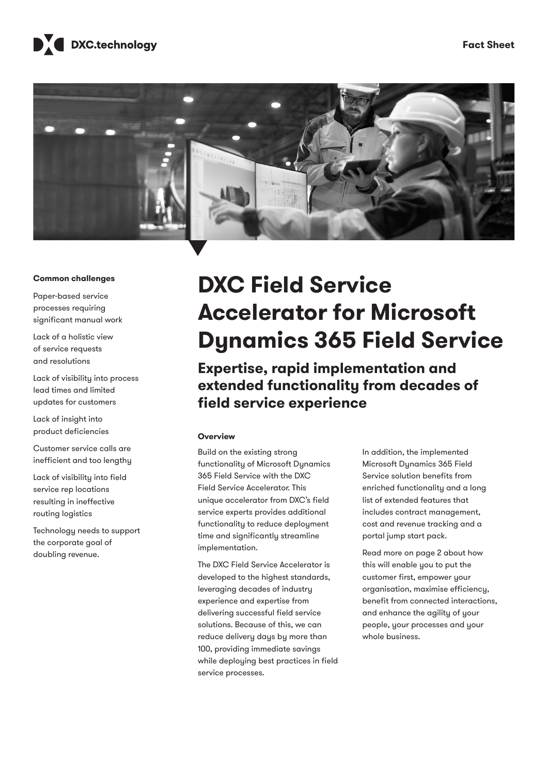



### **Common challenges**

Paper-based service processes requiring significant manual work

Lack of a holistic view of service requests and resolutions

Lack of visibility into process lead times and limited updates for customers

Lack of insight into product deficiencies

Customer service calls are inefficient and too lengthy

Lack of visibility into field service rep locations resulting in ineffective routing logistics

Technology needs to support the corporate goal of doubling revenue.

# **DXC Field Service Accelerator for Microsoft Dynamics 365 Field Service**

**Expertise, rapid implementation and extended functionality from decades of field service experience**

### **Overview**

Build on the existing strong functionality of Microsoft Dynamics 365 Field Service with the DXC Field Service Accelerator. This unique accelerator from DXC's field service experts provides additional functionality to reduce deployment time and significantly streamline implementation.

The DXC Field Service Accelerator is developed to the highest standards, leveraging decades of industry experience and expertise from delivering successful field service solutions. Because of this, we can reduce delivery days by more than 100, providing immediate savings while deploying best practices in field service processes.

In addition, the implemented Microsoft Dynamics 365 Field Service solution benefits from enriched functionality and a long list of extended features that includes contract management, cost and revenue tracking and a portal jump start pack.

Read more on page 2 about how this will enable you to put the customer first, empower your organisation, maximise efficiency, benefit from connected interactions, and enhance the agility of your people, your processes and your whole business.